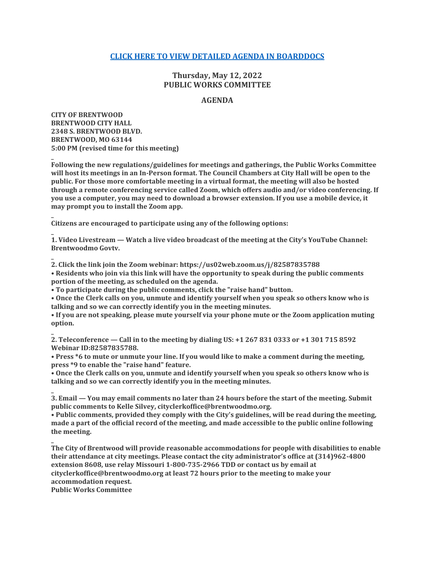# **[CLICK HERE TO VIEW DETAILED AGENDA IN BOARDDOCS](http://go.boarddocs.com/mo/cob/Board.nsf/goto?open&id=CCAM3Z58DFB9)**

# **Thursday, May 12, 2022 PUBLIC WORKS COMMITTEE**

## **AGENDA**

**CITY OF BRENTWOOD BRENTWOOD CITY HALL 2348 S. BRENTWOOD BLVD. BRENTWOOD, MO 63144 5:00 PM (revised time for this meeting)**

**\_**

**\_**

**\_**

**\_**

**Following the new regulations/guidelines for meetings and gatherings, the Public Works Committee will host its meetings in an In-Person format. The Council Chambers at City Hall will be open to the public. For those more comfortable meeting in a virtual format, the meeting will also be hosted through a remote conferencing service called Zoom, which offers audio and/or video conferencing. If you use a computer, you may need to download a browser extension. If you use a mobile device, it may prompt you to install the Zoom app.**

**Citizens are encouraged to participate using any of the following options:**

**\_ 1. Video Livestream — Watch a live video broadcast of the meeting at the City's YouTube Channel: Brentwoodmo Govtv.**

**\_ 2. Click the link join the Zoom webinar: https://us02web.zoom.us/j/82587835788**

**• Residents who join via this link will have the opportunity to speak during the public comments portion of the meeting, as scheduled on the agenda.**

**• To participate during the public comments, click the "raise hand" button.**

**• Once the Clerk calls on you, unmute and identify yourself when you speak so others know who is talking and so we can correctly identify you in the meeting minutes.**

**• If you are not speaking, please mute yourself via your phone mute or the Zoom application muting option.**

**2. Teleconference — Call in to the meeting by dialing US: +1 267 831 0333 or +1 301 715 8592 Webinar ID:82587835788.**

**• Press \*6 to mute or unmute your line. If you would like to make a comment during the meeting, press \*9 to enable the "raise hand" feature.**

**• Once the Clerk calls on you, unmute and identify yourself when you speak so others know who is talking and so we can correctly identify you in the meeting minutes.**

**\_ 3. Email — You may email comments no later than 24 hours before the start of the meeting. Submit public comments to Kelle Silvey, cityclerkoffice@brentwoodmo.org.**

**• Public comments, provided they comply with the City's guidelines, will be read during the meeting, made a part of the official record of the meeting, and made accessible to the public online following the meeting.**

**The City of Brentwood will provide reasonable accommodations for people with disabilities to enable their attendance at city meetings. Please contact the city administrator's office at (314)962-4800 extension 8608, use relay Missouri 1-800-735-2966 TDD or contact us by email at cityclerkoffice@brentwoodmo.org at least 72 hours prior to the meeting to make your accommodation request. Public Works Committee**